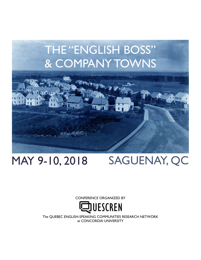

## MAY 9-10, 2018

## SAGUENAY, QC

CONFERENCE ORGANIZED BY



The QUEBEC ENGLISH-SPEAKING COMMUNITIES RESEARCH NETWORK at CONCORDIA UNIVERSITY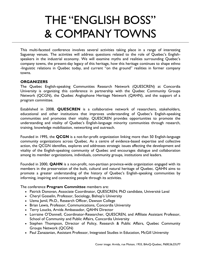# THE "ENGLISH BOSS" & COMPANY TOWNS

This multi-faceted conference involves several activities taking place in a range of interesting Saguenay venues. The activities will address questions related to the role of Quebec's Englishspeakers in the industrial economy. We will examine myths and realities surrounding Quebec's company towns, the present-day legacy of this heritage, how this heritage continues to shape ethno -linguistic relations in Quebec today, and current "on the ground" realities in former company towns.

#### **ORGANIZERS**

The Quebec English-speaking Communities Research Network (QUESCREN) at Concordia University is organizing this conference in partnership with the Quebec Community Groups Network (QCGN), the Quebec Anglophone Heritage Network (QAHN), and the support of a program committee.

Established in 2008, **QUESCREN** is a collaborative network of researchers, stakeholders, educational and other institutions that improves understanding of Quebec's English-speaking communities and promotes their vitality. QUESCREN provides opportunities to promote the understanding and vitality of Quebec's English-language minority communities through research, training, knowledge mobilization, networking and outreach.

Founded in 1995, the **QCGN** is a not-for-profit organization linking more than 50 English-language community organizations across Quebec. As a centre of evidence-based expertise and collective action, the QCGN identifies, explores and addresses strategic issues affecting the development and vitality of the English-speaking community of Quebec and encourages dialogue and collaboration among its member organizations, individuals, community groups, institutions and leaders.

Founded in 2000, **QAHN** is a non-profit, non-partisan province-wide organization engaged with its members in the preservation of the built, cultural and natural heritage of Quebec. QAHN aims to promote a greater understanding of the history of Quebec's English-speaking communities by informing, inspiring and connecting people through its activities.

#### The conference **Program Committee** members are:

- Patrick Donovan, Associate Coordinator, QUESCREN; PhD candidate, Université Laval
- Cheryl Gosselin, Professor, Sociology, Bishop's University
- Uzma Jamil, Ph.D., Research Officer, Dawson College
- Brian Lewis, Professor, Communications, Concordia University
- Terry Loucks, Arvida Ambassador, QAHN Director
- Lorraine O'Donnell, Coordinator-Researcher, QUESCREN, and Affiliate Assistant Professor, School of Community and Public Affairs, Concordia University
- Stephen Thompson, Director of Policy, Research & Public Affairs, Quebec Community Groups Network (QCGN)
- Paul Zanazanian, Assistant Professor, Integrated Studies in Education, McGill University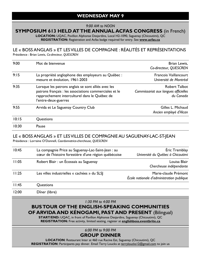#### *9:00 AM to NOON*

## **SYMPOSIUM 613 HELD AT THE ANNUAL ACFAS CONGRESS** (in French)

**LOCATION:** UQAC, Pavillon Alphonse Desjardins, Local H2-1090, Saguenay (Chicoutimi), QC **REGISTRATION:** Registration and Acfas badge required for entry. See **www.acfas.ca**

#### LE « BOSS ANGLAIS » ET LES VILLES DE COMPAGNIE : RÉALITÉS ET REPRÉSENTATIONS Présidence : Brian Lewis, *Co-directeur, QUESCREN*

| 9:00  | Mot de bienvenue                                                                                                                                                                       | Brian Lewis,<br>Co-directeur, QUESCREN                                    |  |
|-------|----------------------------------------------------------------------------------------------------------------------------------------------------------------------------------------|---------------------------------------------------------------------------|--|
| 9:15  | La propriété anglophone des employeurs au Québec :<br>mesure et évolution, 1961-2003                                                                                                   | <b>Francois Vaillancourt</b><br>Université de Montréal                    |  |
| 9:35  | Lorsque les patrons anglais se sont alliés avec les<br>patrons français : les associations commerciales et le<br>rapprochement interculturel dans le Québec de<br>l'entre-deux-guerres | <b>Robert Talbot</b><br>Commissariat aux langues officielles<br>du Canada |  |
| 9:55  | Arvida et Le Saguenay Country Club                                                                                                                                                     | Gilles L. Michaud<br>Ancien employé d'Alcan                               |  |
| 10:15 | Questions                                                                                                                                                                              |                                                                           |  |
| 10:30 | Pause                                                                                                                                                                                  |                                                                           |  |

#### LE « BOSS ANGLAIS » ET LES VILLES DE COMPAGNIE AU SAGUENAY-LAC-ST-JEAN

Présidence : Lorraine O'Donnell, *Coordonnatrice-chercheuse, QUESCREN*

| 10:45 | La compagnie Price au Saguenay-Lac-Saint-Jean : au<br>cœur de l'histoire forestière d'une région québécoise | Éric Tremblay<br>Université du Québec à Chicoutimi                |
|-------|-------------------------------------------------------------------------------------------------------------|-------------------------------------------------------------------|
| 11:05 | Robert Blair: un Écossais au Saguenay                                                                       | Louisa Blair<br>Chercheuse indépendante                           |
| 11:25 | Les villes industrielles « cachées » du SLSJ                                                                | Marie-claude Prémont<br>Ecole nationale d'administration publique |
| 11:45 | Questions                                                                                                   |                                                                   |
| 12:00 | Dîner (libre)                                                                                               |                                                                   |

*1:30 PM to 4:00 PM* 

### **BUS TOUR OF THE ENGLISH-SPEAKING COMMUNITIES OF ARVIDA AND KÉNOGAMI, PAST AND PRESENT** (Bilingual)

**START/END:** UQAC, in front of Pavillon Alphonse Desjardins, Saguenay (Chicoutimi), QC **REGISTRATION:** Free activity, limited seating, register at **englishboss.eventbrite.ca**

#### *6:00 PM to 9:00 PM*  **GROUP DINNER**

**LOCATION**: Restaurant Inter at 460 rue Racine Est, Saguenay (Chicoutimi), QC REGISTRATION: Participants pay dinner. Email Terry Loucks at [terryloucks12@gmail.com t](mailto:terryloucks12@gmail.com)o join us